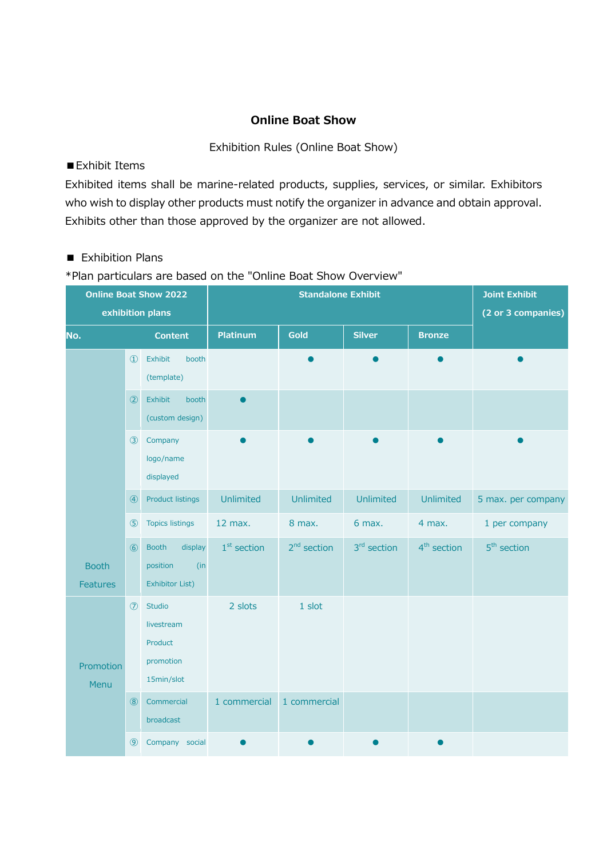# **Online Boat Show**

#### Exhibition Rules (Online Boat Show)

# ■Exhibit Items

Exhibited items shall be marine-related products, supplies, services, or similar. Exhibitors who wish to display other products must notify the organizer in advance and obtain approval. Exhibits other than those approved by the organizer are not allowed.

# ■ Exhibition Plans

\*Plan particulars are based on the "Online Boat Show Overview"

| <b>Online Boat Show 2022</b><br>exhibition plans |                |                                                               | <b>Standalone Exhibit</b> |               |                         |                         | <b>Joint Exhibit</b><br>(2 or 3 companies) |
|--------------------------------------------------|----------------|---------------------------------------------------------------|---------------------------|---------------|-------------------------|-------------------------|--------------------------------------------|
| No.                                              |                | <b>Content</b>                                                | <b>Platinum</b>           | Gold          | <b>Silver</b>           | <b>Bronze</b>           |                                            |
|                                                  | $\Omega$       | Exhibit<br>booth<br>(template)                                |                           |               |                         |                         |                                            |
|                                                  | $\circled{2}$  | Exhibit<br>booth<br>(custom design)                           |                           |               |                         |                         |                                            |
|                                                  | $\circled{3}$  | Company<br>logo/name<br>displayed                             |                           |               |                         |                         |                                            |
|                                                  | $\circled{4}$  | <b>Product listings</b>                                       | Unlimited                 | Unlimited     | Unlimited               | Unlimited               | 5 max. per company                         |
|                                                  | $\circledS$    | <b>Topics listings</b>                                        | 12 max.                   | 8 max.        | 6 max.                  | 4 max.                  | 1 per company                              |
| <b>Booth</b><br><b>Features</b>                  | $\circ$        | <b>Booth</b><br>display<br>position<br>(in<br>Exhibitor List) | $1st$ section             | $2nd$ section | 3 <sup>rd</sup> section | 4 <sup>th</sup> section | $5th$ section                              |
| Promotion<br>Menu                                | $\circledcirc$ | Studio<br>livestream<br>Product<br>promotion<br>15min/slot    | 2 slots                   | 1 slot        |                         |                         |                                            |
|                                                  | $\circledR$    | Commercial<br>broadcast                                       | 1 commercial              | 1 commercial  |                         |                         |                                            |
|                                                  | $\circledcirc$ | Company social                                                |                           |               |                         |                         |                                            |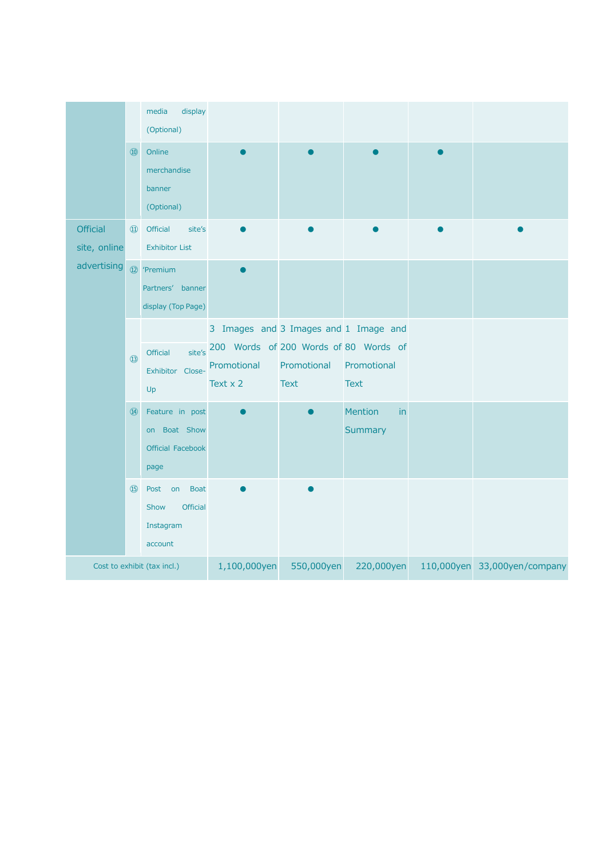|                                                | $\circled{10}$     | display<br>media<br>(Optional)<br>Online<br>merchandise<br>banner<br>(Optional)                                  |                                                                                                                  |                            |                                 |                              |
|------------------------------------------------|--------------------|------------------------------------------------------------------------------------------------------------------|------------------------------------------------------------------------------------------------------------------|----------------------------|---------------------------------|------------------------------|
| <b>Official</b><br>site, online<br>advertising | $\textcircled{11}$ | Official<br>site's<br><b>Exhibitor List</b><br>12 <sup>'</sup> Premium<br>Partners' banner<br>display (Top Page) |                                                                                                                  |                            |                                 |                              |
|                                                | $\circled{1}$      | site's<br>Official<br>Exhibitor Close-<br>Up                                                                     | 3 Images and 3 Images and 1 Image and<br>200 Words of 200 Words of 80 Words of<br>Promotional<br>Text $\times$ 2 | Promotional<br><b>Text</b> | Promotional<br><b>Text</b>      |                              |
|                                                | $\overline{44}$    | Feature in post<br>on Boat Show<br>Official Facebook<br>page                                                     |                                                                                                                  |                            | <b>Mention</b><br>in<br>Summary |                              |
|                                                | (15)               | <b>Boat</b><br>Post<br>on<br><b>Official</b><br>Show<br>Instagram<br>account                                     |                                                                                                                  |                            |                                 |                              |
| Cost to exhibit (tax incl.)                    |                    |                                                                                                                  | 1,100,000yen                                                                                                     | 550,000yen                 | 220,000yen                      | 110,000yen 33,000yen/company |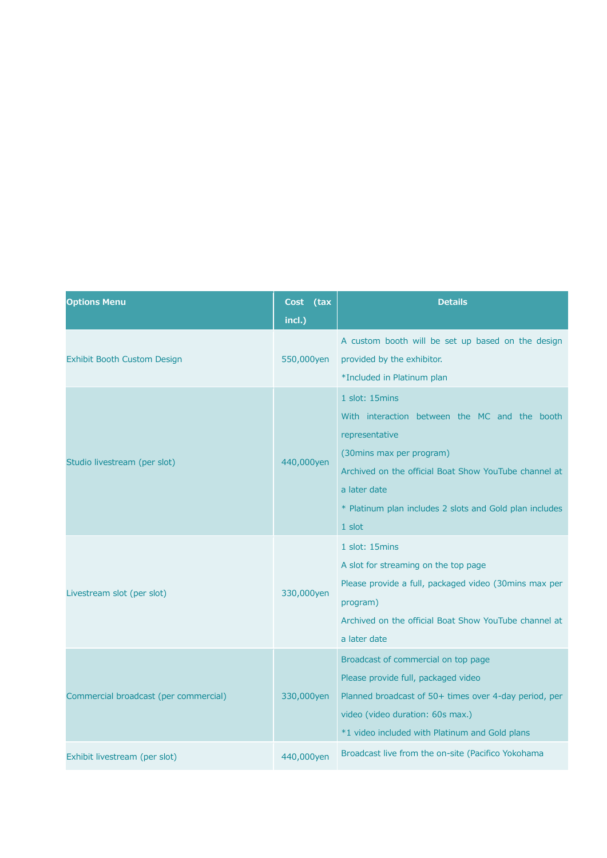| <b>Options Menu</b>                   | (tax<br>Cost | <b>Details</b>                                                                                                                                                                                                                                                |
|---------------------------------------|--------------|---------------------------------------------------------------------------------------------------------------------------------------------------------------------------------------------------------------------------------------------------------------|
|                                       | incl.)       |                                                                                                                                                                                                                                                               |
| Exhibit Booth Custom Design           | 550,000yen   | A custom booth will be set up based on the design<br>provided by the exhibitor.<br>*Included in Platinum plan                                                                                                                                                 |
| Studio livestream (per slot)          | 440,000yen   | 1 slot: 15mins<br>With interaction between the MC and the booth<br>representative<br>(30mins max per program)<br>Archived on the official Boat Show YouTube channel at<br>a later date<br>* Platinum plan includes 2 slots and Gold plan includes<br>$1$ slot |
| Livestream slot (per slot)            | 330,000yen   | 1 slot: 15mins<br>A slot for streaming on the top page<br>Please provide a full, packaged video (30mins max per<br>program)<br>Archived on the official Boat Show YouTube channel at<br>a later date                                                          |
| Commercial broadcast (per commercial) | 330,000yen   | Broadcast of commercial on top page<br>Please provide full, packaged video<br>Planned broadcast of 50+ times over 4-day period, per<br>video (video duration: 60s max.)<br>*1 video included with Platinum and Gold plans                                     |
| Exhibit livestream (per slot)         | 440,000yen   | Broadcast live from the on-site (Pacifico Yokohama                                                                                                                                                                                                            |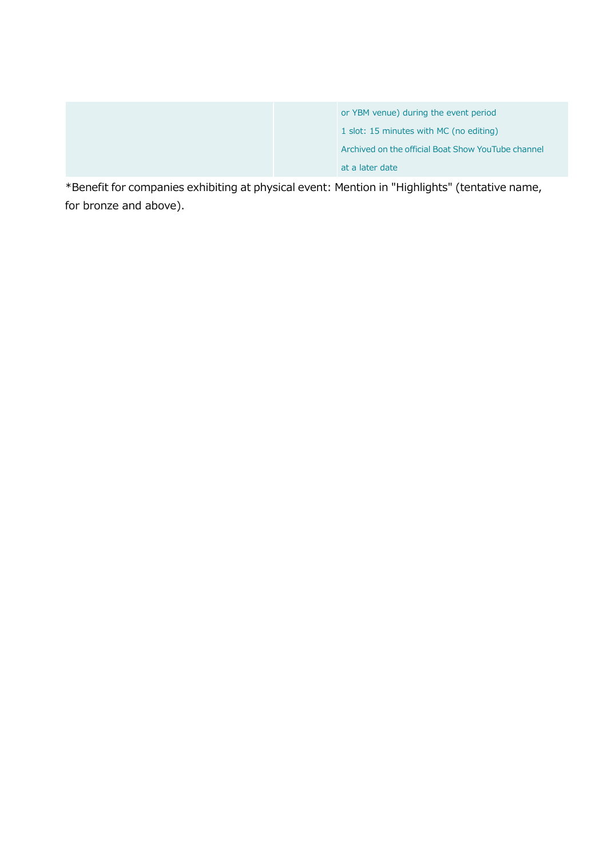|  | or YBM venue) during the event period              |
|--|----------------------------------------------------|
|  | 1 slot: 15 minutes with MC (no editing)            |
|  | Archived on the official Boat Show YouTube channel |
|  | at a later date                                    |

\*Benefit for companies exhibiting at physical event: Mention in "Highlights" (tentative name, for bronze and above).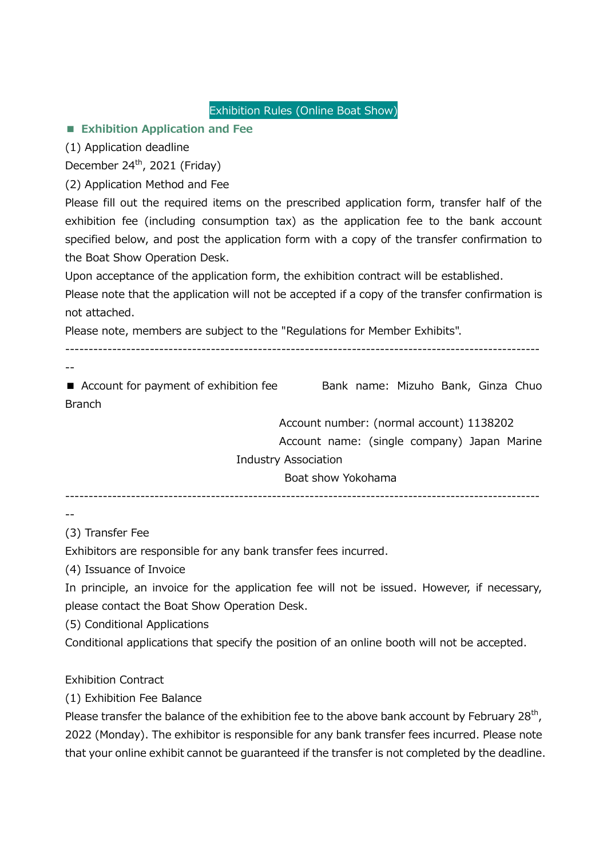Exhibition Rules (Online Boat Show)

# ■ **Exhibition Application and Fee**

(1) Application deadline

December  $24^{th}$ , 2021 (Friday)

(2) Application Method and Fee

Please fill out the required items on the prescribed application form, transfer half of the exhibition fee (including consumption tax) as the application fee to the bank account specified below, and post the application form with a copy of the transfer confirmation to the Boat Show Operation Desk.

Upon acceptance of the application form, the exhibition contract will be established.

Please note that the application will not be accepted if a copy of the transfer confirmation is not attached.

Please note, members are subject to the "Regulations for Member Exhibits".

-----------------------------------------------------------------------------------------------------

■ Account for payment of exhibition fee Bank name: Mizuho Bank, Ginza Chuo Branch

Account number: (normal account) 1138202

Account name: (single company) Japan Marine

Industry Association

Boat show Yokohama

-----------------------------------------------------------------------------------------------------

--

--

(3) Transfer Fee

Exhibitors are responsible for any bank transfer fees incurred.

(4) Issuance of Invoice

In principle, an invoice for the application fee will not be issued. However, if necessary, please contact the Boat Show Operation Desk.

(5) Conditional Applications

Conditional applications that specify the position of an online booth will not be accepted.

Exhibition Contract

(1) Exhibition Fee Balance

Please transfer the balance of the exhibition fee to the above bank account by February 28<sup>th</sup>, 2022 (Monday). The exhibitor is responsible for any bank transfer fees incurred. Please note that your online exhibit cannot be guaranteed if the transfer is not completed by the deadline.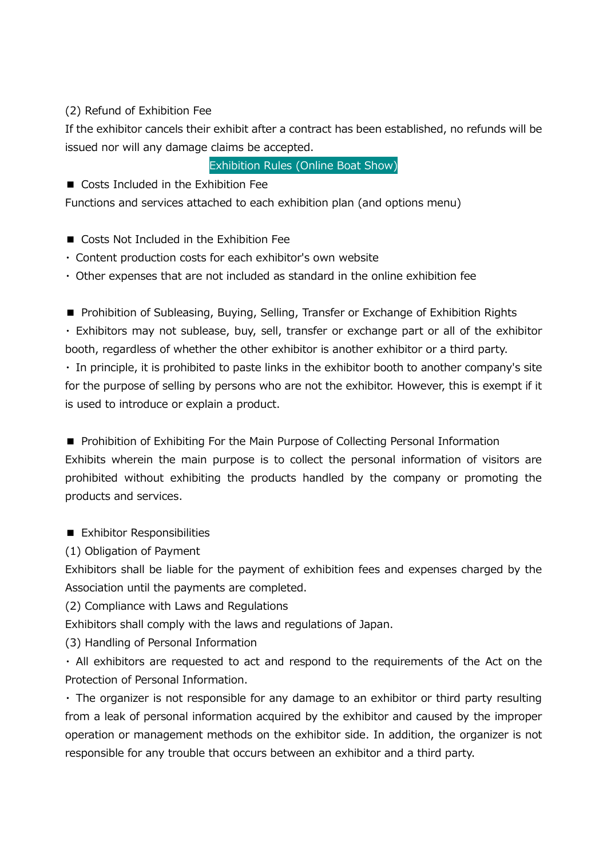# (2) Refund of Exhibition Fee

If the exhibitor cancels their exhibit after a contract has been established, no refunds will be issued nor will any damage claims be accepted.

Exhibition Rules (Online Boat Show)

■ Costs Included in the Exhibition Fee

Functions and services attached to each exhibition plan (and options menu)

- Costs Not Included in the Exhibition Fee
- ・ Content production costs for each exhibitor's own website
- ・ Other expenses that are not included as standard in the online exhibition fee

■ Prohibition of Subleasing, Buying, Selling, Transfer or Exchange of Exhibition Rights

・ Exhibitors may not sublease, buy, sell, transfer or exchange part or all of the exhibitor booth, regardless of whether the other exhibitor is another exhibitor or a third party.

・ In principle, it is prohibited to paste links in the exhibitor booth to another company's site for the purpose of selling by persons who are not the exhibitor. However, this is exempt if it is used to introduce or explain a product.

■ Prohibition of Exhibiting For the Main Purpose of Collecting Personal Information Exhibits wherein the main purpose is to collect the personal information of visitors are prohibited without exhibiting the products handled by the company or promoting the products and services.

■ Exhibitor Responsibilities

(1) Obligation of Payment

Exhibitors shall be liable for the payment of exhibition fees and expenses charged by the Association until the payments are completed.

(2) Compliance with Laws and Regulations

Exhibitors shall comply with the laws and regulations of Japan.

(3) Handling of Personal Information

・ All exhibitors are requested to act and respond to the requirements of the Act on the Protection of Personal Information.

・ The organizer is not responsible for any damage to an exhibitor or third party resulting from a leak of personal information acquired by the exhibitor and caused by the improper operation or management methods on the exhibitor side. In addition, the organizer is not responsible for any trouble that occurs between an exhibitor and a third party.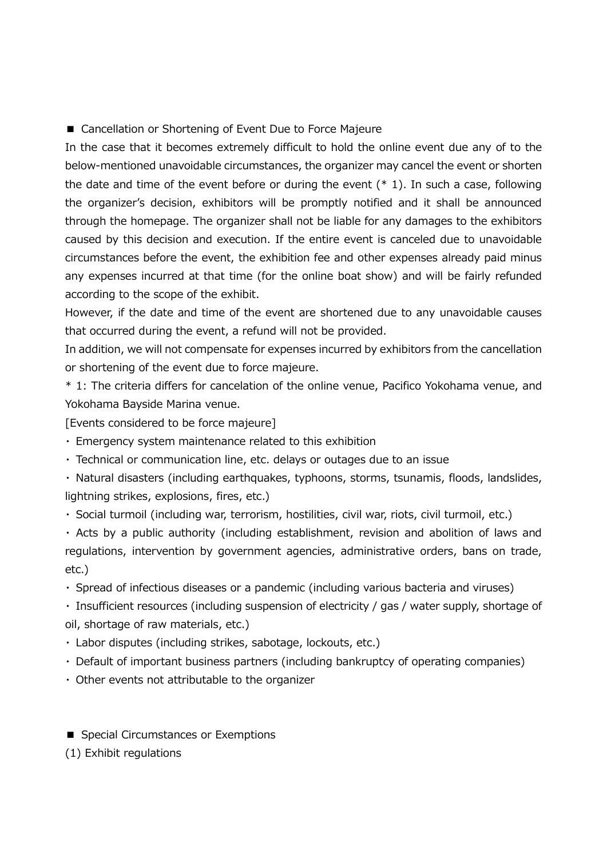■ Cancellation or Shortening of Event Due to Force Majeure

In the case that it becomes extremely difficult to hold the online event due any of to the below-mentioned unavoidable circumstances, the organizer may cancel the event or shorten the date and time of the event before or during the event  $(* 1)$ . In such a case, following the organizer's decision, exhibitors will be promptly notified and it shall be announced through the homepage. The organizer shall not be liable for any damages to the exhibitors caused by this decision and execution. If the entire event is canceled due to unavoidable circumstances before the event, the exhibition fee and other expenses already paid minus any expenses incurred at that time (for the online boat show) and will be fairly refunded according to the scope of the exhibit.

However, if the date and time of the event are shortened due to any unavoidable causes that occurred during the event, a refund will not be provided.

In addition, we will not compensate for expenses incurred by exhibitors from the cancellation or shortening of the event due to force majeure.

\* 1: The criteria differs for cancelation of the online venue, Pacifico Yokohama venue, and Yokohama Bayside Marina venue.

[Events considered to be force majeure]

・ Emergency system maintenance related to this exhibition

・ Technical or communication line, etc. delays or outages due to an issue

・ Natural disasters (including earthquakes, typhoons, storms, tsunamis, floods, landslides, lightning strikes, explosions, fires, etc.)

・ Social turmoil (including war, terrorism, hostilities, civil war, riots, civil turmoil, etc.)

・ Acts by a public authority (including establishment, revision and abolition of laws and regulations, intervention by government agencies, administrative orders, bans on trade, etc.)

・ Spread of infectious diseases or a pandemic (including various bacteria and viruses)

・ Insufficient resources (including suspension of electricity / gas / water supply, shortage of oil, shortage of raw materials, etc.)

・ Labor disputes (including strikes, sabotage, lockouts, etc.)

• Default of important business partners (including bankruptcy of operating companies)

・ Other events not attributable to the organizer

■ Special Circumstances or Exemptions

(1) Exhibit regulations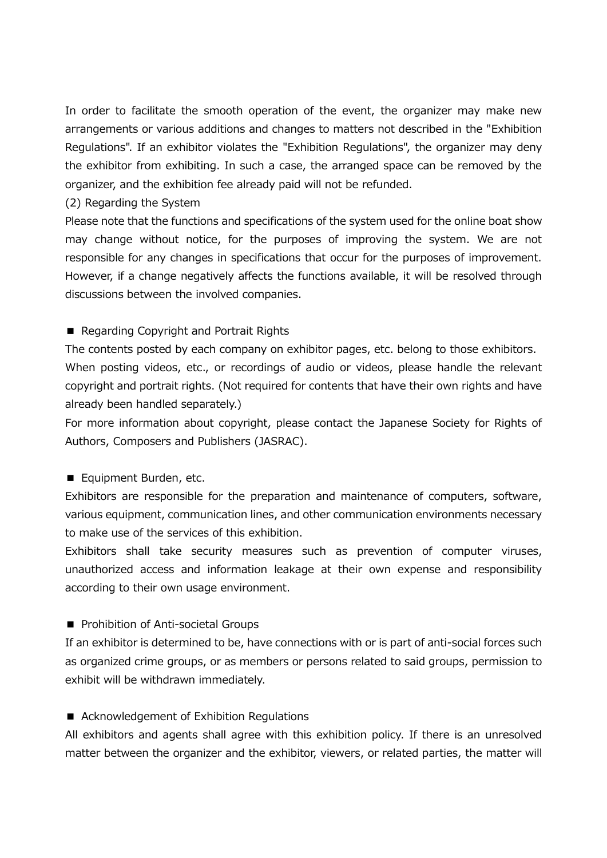In order to facilitate the smooth operation of the event, the organizer may make new arrangements or various additions and changes to matters not described in the "Exhibition Regulations". If an exhibitor violates the "Exhibition Regulations", the organizer may deny the exhibitor from exhibiting. In such a case, the arranged space can be removed by the organizer, and the exhibition fee already paid will not be refunded.

(2) Regarding the System

Please note that the functions and specifications of the system used for the online boat show may change without notice, for the purposes of improving the system. We are not responsible for any changes in specifications that occur for the purposes of improvement. However, if a change negatively affects the functions available, it will be resolved through discussions between the involved companies.

# ■ Regarding Copyright and Portrait Rights

The contents posted by each company on exhibitor pages, etc. belong to those exhibitors. When posting videos, etc., or recordings of audio or videos, please handle the relevant copyright and portrait rights. (Not required for contents that have their own rights and have already been handled separately.)

For more information about copyright, please contact the Japanese Society for Rights of Authors, Composers and Publishers (JASRAC).

# ■ Equipment Burden, etc.

Exhibitors are responsible for the preparation and maintenance of computers, software, various equipment, communication lines, and other communication environments necessary to make use of the services of this exhibition.

Exhibitors shall take security measures such as prevention of computer viruses, unauthorized access and information leakage at their own expense and responsibility according to their own usage environment.

# ■ Prohibition of Anti-societal Groups

If an exhibitor is determined to be, have connections with or is part of anti-social forces such as organized crime groups, or as members or persons related to said groups, permission to exhibit will be withdrawn immediately.

# ■ Acknowledgement of Exhibition Regulations

All exhibitors and agents shall agree with this exhibition policy. If there is an unresolved matter between the organizer and the exhibitor, viewers, or related parties, the matter will